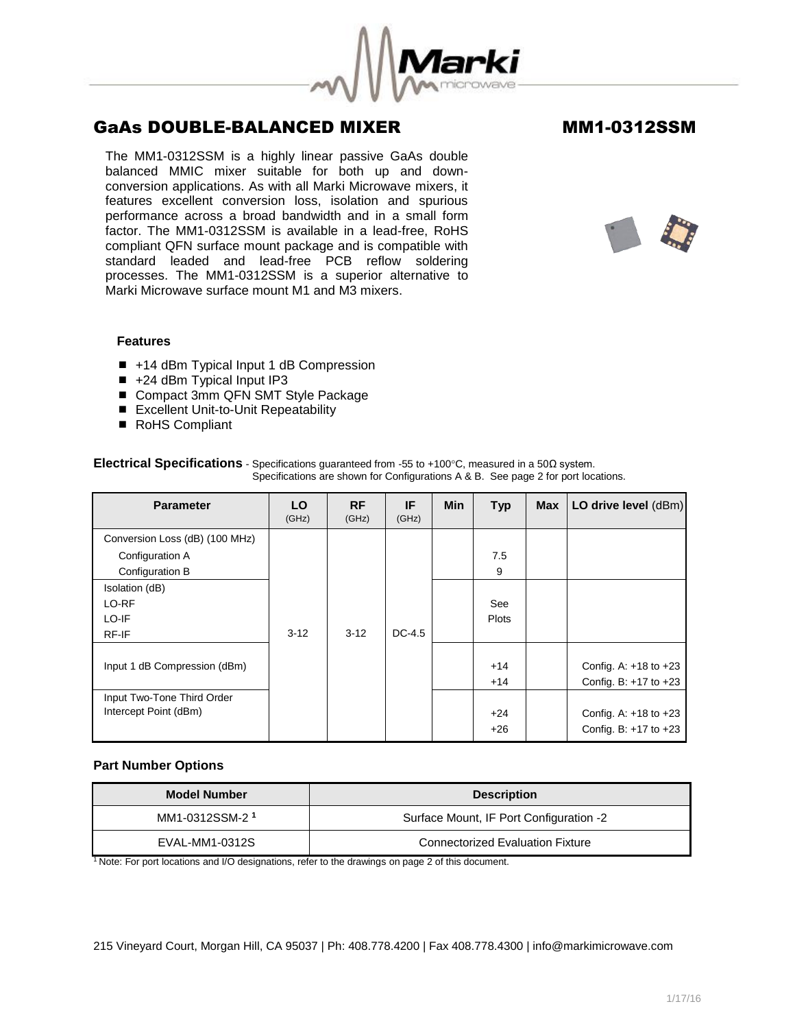

The MM1-0312SSM is a highly linear passive GaAs double balanced MMIC mixer suitable for both up and downconversion applications. As with all Marki Microwave mixers, it features excellent conversion loss, isolation and spurious performance across a broad bandwidth and in a small form factor. The MM1-0312SSM is available in a lead-free, RoHS compliant QFN surface mount package and is compatible with standard leaded and lead-free PCB reflow soldering processes. The MM1-0312SSM is a superior alternative to Marki Microwave surface mount M1 and M3 mixers.



## **Features**

- +14 dBm Typical Input 1 dB Compression
- $\blacksquare$  +24 dBm Typical Input IP3
- Compact 3mm QFN SMT Style Package
- Excellent Unit-to-Unit Repeatability
- RoHS Compliant

| <b>Parameter</b>               | LO<br>(GHz) | <b>RF</b><br>(GHz) | IF<br>(GHz) | <b>Min</b> | <b>Typ</b>   | <b>Max</b> | LO drive level (dBm)      |
|--------------------------------|-------------|--------------------|-------------|------------|--------------|------------|---------------------------|
| Conversion Loss (dB) (100 MHz) |             |                    |             |            |              |            |                           |
| Configuration A                |             |                    |             |            | 7.5          |            |                           |
| Configuration B                |             |                    |             |            | 9            |            |                           |
| Isolation (dB)                 |             |                    |             |            |              |            |                           |
| LO-RF                          |             |                    |             |            | See          |            |                           |
| LO-IF                          |             |                    |             |            | <b>Plots</b> |            |                           |
| RF-IF                          | $3 - 12$    | $3-12$             | $DC-4.5$    |            |              |            |                           |
|                                |             |                    |             |            |              |            |                           |
| Input 1 dB Compression (dBm)   |             |                    |             |            | $+14$        |            | Config. A: $+18$ to $+23$ |
|                                |             |                    |             |            | $+14$        |            | Config. B: $+17$ to $+23$ |
| Input Two-Tone Third Order     |             |                    |             |            |              |            |                           |
| Intercept Point (dBm)          |             |                    |             |            | $+24$        |            | Config. A: $+18$ to $+23$ |
|                                |             |                    |             |            | $+26$        |            | Config. B: $+17$ to $+23$ |

## **Electrical Specifications** - Specifications quaranteed from -55 to +100°C, measured in a 50Ω system. Specifications are shown for Configurations A & B. See page 2 for port locations.

## **Part Number Options**

| <b>Model Number</b>        | <b>Description</b>                      |  |  |
|----------------------------|-----------------------------------------|--|--|
| MM1-0312SSM-2 <sup>1</sup> | Surface Mount, IF Port Configuration -2 |  |  |
| EVAL-MM1-0312S             | <b>Connectorized Evaluation Fixture</b> |  |  |

<sup>1</sup> Note: For port locations and I/O designations, refer to the drawings on page 2 of this document.

215 Vineyard Court, Morgan Hill, CA 95037 | Ph: 408.778.4200 | Fax 408.778.4300 | info@markimicrowave.com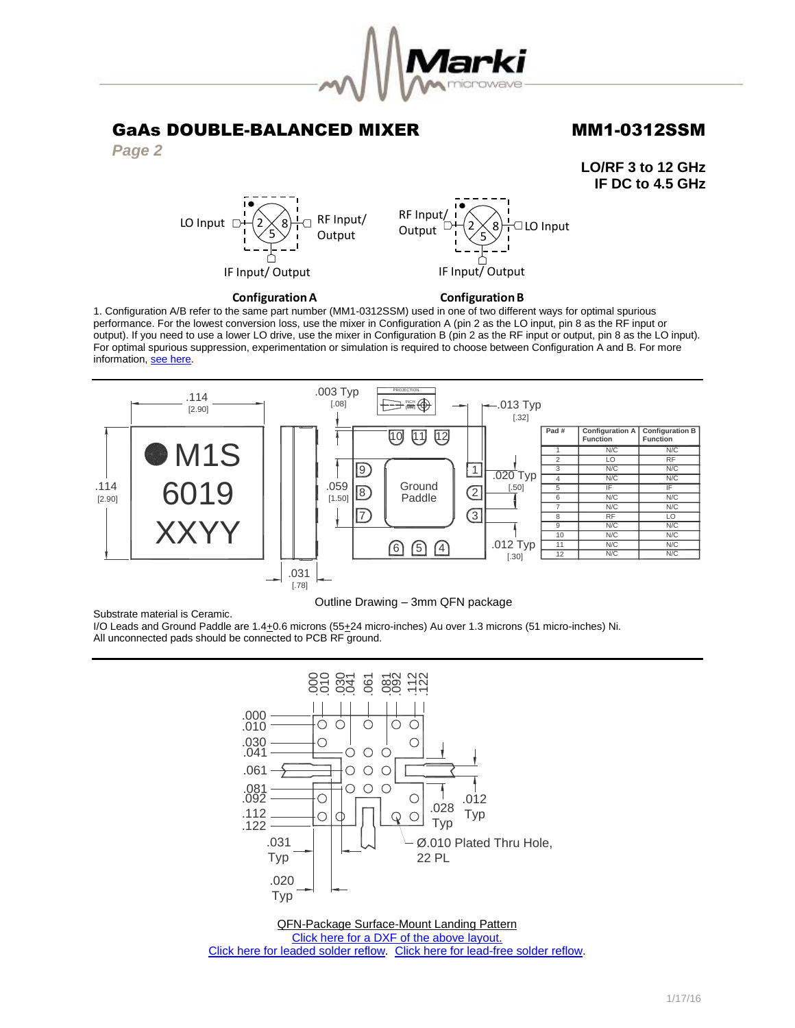

*Page 2*

**LO/RF 3 to 12 GHz IF DC to 4.5 GHz**



**Configuration A** 

**Configuration B** 

1. Configuration A/B refer to the same part number (MM1-0312SSM) used in one of two different ways for optimal spurious performance. For the lowest conversion loss, use the mixer in Configuration A (pin 2 as the LO input, pin 8 as the RF input or output). If you need to use a lower LO drive, use the mixer in Configuration B (pin 2 as the RF input or output, pin 8 as the LO input). For optimal spurious suppression, experimentation or simulation is required to choose between Configuration A and B. For more information, [see here.](http://www.markimicrowave.com/rf-microwave-qa/q/what-is-the-difference-between-configuration-a-and-configuration-b-on-mixers)



### Outline Drawing – 3mm QFN package

Substrate material is Ceramic.

I/O Leads and Ground Paddle are 1.4+0.6 microns (55+24 micro-inches) Au over 1.3 microns (51 micro-inches) Ni. All unconnected pads should be connected to PCB RF ground.



QFN-Package Surface-Mount Landing Pattern [Click here for a DXF of the above layout.](http://www.markimicrowave.com/menus/appnotes/qfn12l.zip) [Click here for leaded solder reflow.](http://www.markimicrowave.com/Assets/appnotes/reflow.pdf) [Click here for lead-free solder reflow.](http://www.markimicrowave.com/Assets/appnotes/reflow-lf.pdf)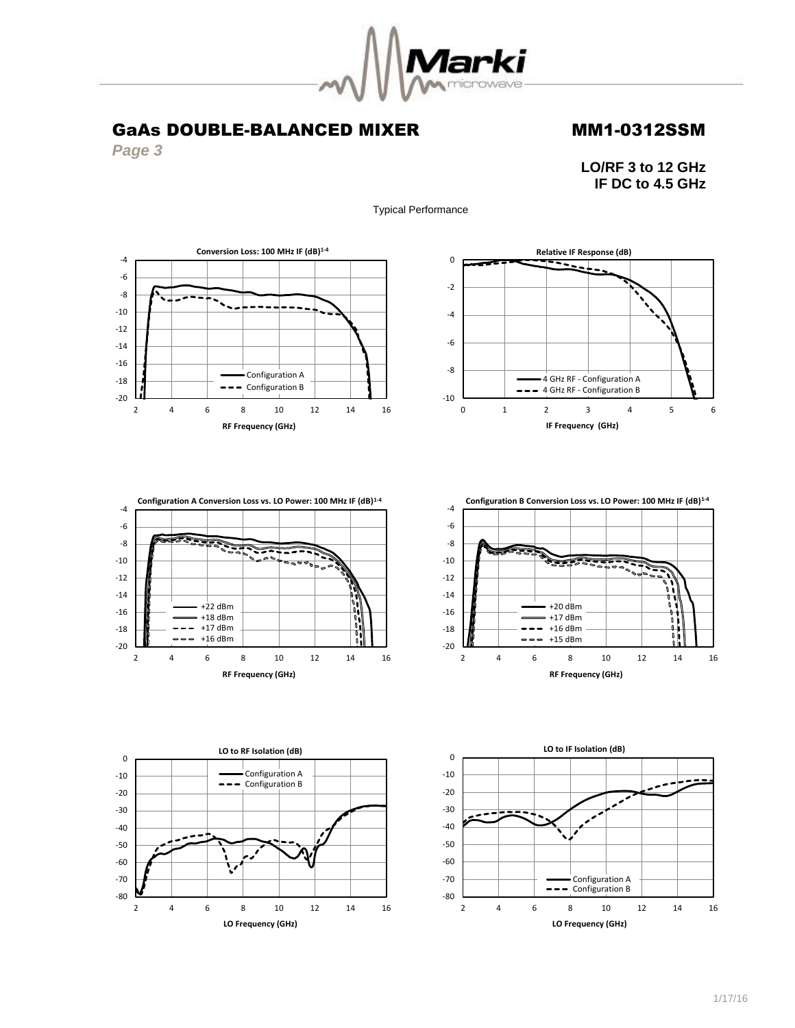

Typical Performance

## GaAs DOUBLE-BALANCED MIXER MM1-0312SSM

*Page 3*

**LO/RF 3 to 12 GHz IF DC to 4.5 GHz**











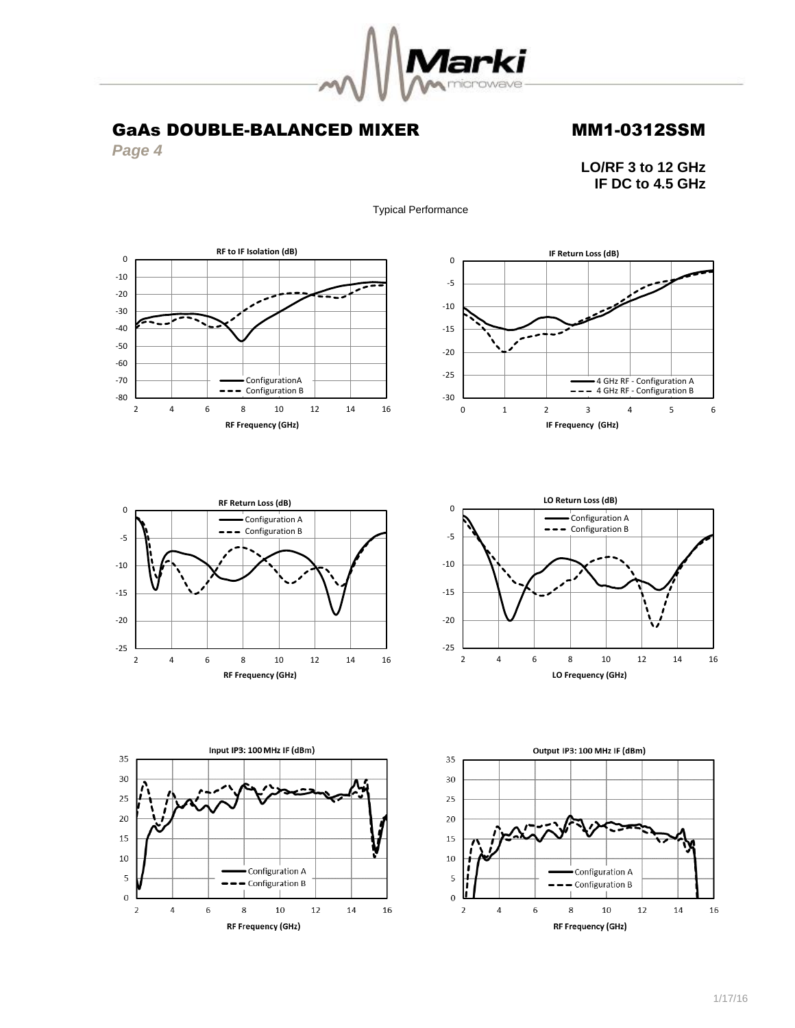

Typical Performance

# GaAs DOUBLE-BALANCED MIXER MM1-0312SSM

*Page 4*

**LO/RF 3 to 12 GHz IF DC to 4.5 GHz**











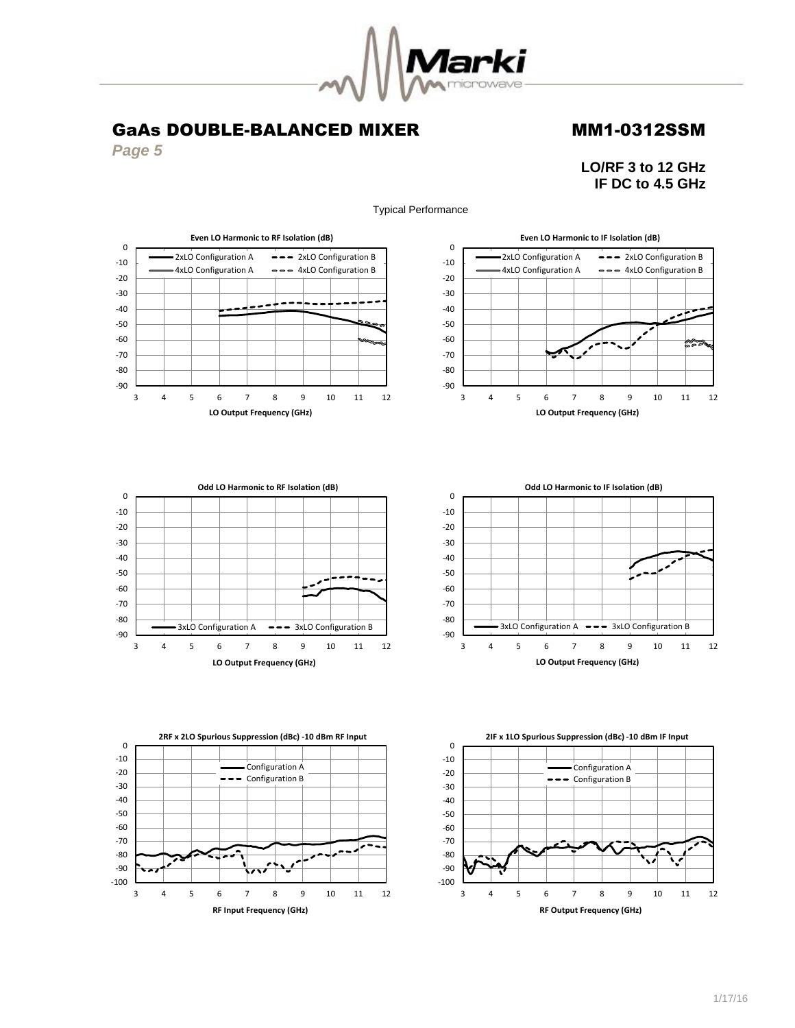

*Page 5*

-100 -90 -80 -70 -60

> 3 4 5 6 7 8 9 10 11 12 **RF Input Frequency (GHz)**

**LO/RF 3 to 12 GHz IF DC to 4.5 GHz**



-100 -90 -80 -70 -60

Typical Performance

1/17/16

3 4 5 6 7 8 9 10 11 12 **RF Output Frequency (GHz)**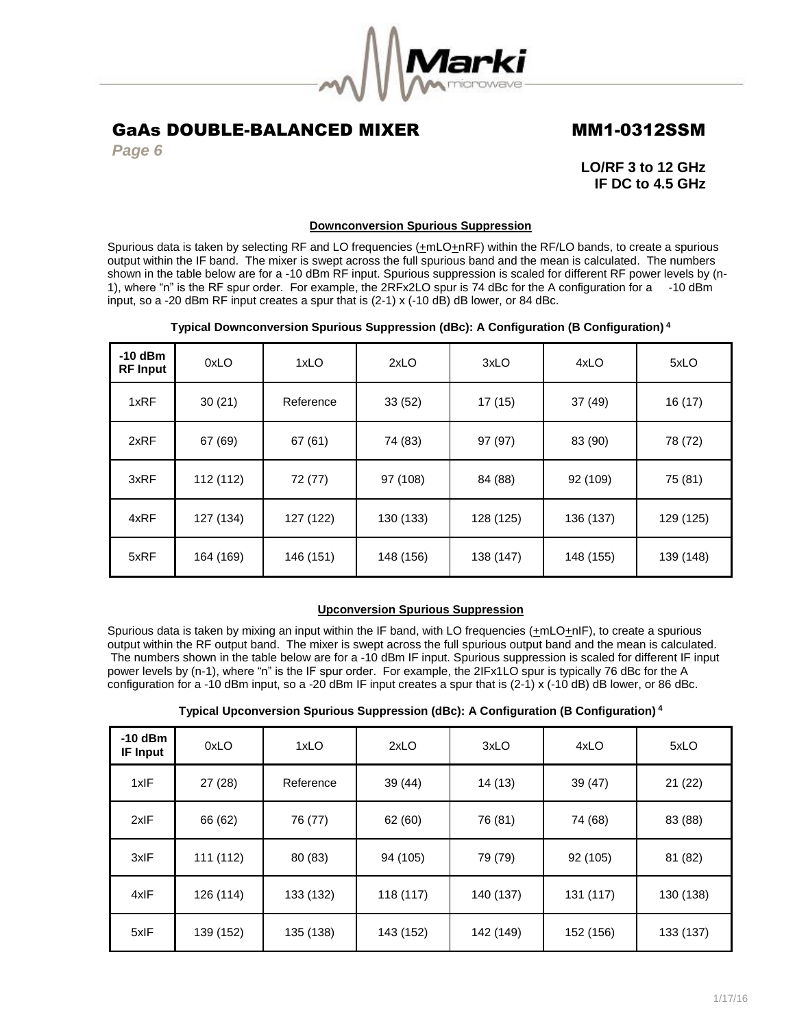

*Page 6*

**LO/RF 3 to 12 GHz IF DC to 4.5 GHz**

## **Downconversion Spurious Suppression**

Spurious data is taken by selecting RF and LO frequencies  $(\pm mLO + nRF)$  within the RF/LO bands, to create a spurious output within the IF band. The mixer is swept across the full spurious band and the mean is calculated. The numbers shown in the table below are for a -10 dBm RF input. Spurious suppression is scaled for different RF power levels by (n-1), where "n" is the RF spur order. For example, the 2RFx2LO spur is 74 dBc for the A configuration for a -10 dBm input, so a -20 dBm RF input creates a spur that is (2-1) x (-10 dB) dB lower, or 84 dBc.

## **Typical Downconversion Spurious Suppression (dBc): A Configuration (B Configuration) <sup>4</sup>**

| $-10$ dBm<br><b>RF</b> Input | 0xLO      | 1xLO      | 2xLO      | 3xLO      | 4xLO      | 5xLO      |
|------------------------------|-----------|-----------|-----------|-----------|-----------|-----------|
| 1xRF                         | 30(21)    | Reference | 33(52)    | 17(15)    | 37(49)    | 16(17)    |
| 2xRF                         | 67 (69)   | 67(61)    | 74 (83)   | 97 (97)   | 83 (90)   | 78 (72)   |
| 3xRF                         | 112 (112) | 72 (77)   | 97 (108)  | 84 (88)   | 92 (109)  | 75 (81)   |
| 4xRF                         | 127 (134) | 127 (122) | 130 (133) | 128 (125) | 136 (137) | 129 (125) |
| 5xRF                         | 164 (169) | 146 (151) | 148 (156) | 138 (147) | 148 (155) | 139 (148) |

## **Upconversion Spurious Suppression**

Spurious data is taken by mixing an input within the IF band, with LO frequencies (+mLO+nIF), to create a spurious output within the RF output band. The mixer is swept across the full spurious output band and the mean is calculated. The numbers shown in the table below are for a -10 dBm IF input. Spurious suppression is scaled for different IF input power levels by (n-1), where "n" is the IF spur order. For example, the 2IFx1LO spur is typically 76 dBc for the A configuration for a -10 dBm input, so a -20 dBm IF input creates a spur that is (2-1) x (-10 dB) dB lower, or 86 dBc.

| $-10$ dBm<br><b>IF Input</b> | 0xLO      | 1xLO      | 2xLO      | 3xLO      | 4xLO      | 5xLO      |
|------------------------------|-----------|-----------|-----------|-----------|-----------|-----------|
| 1xIF                         | 27(28)    | Reference | 39 (44)   | 14 (13)   | 39(47)    | 21(22)    |
| 2xIF                         | 66 (62)   | 76 (77)   | 62 (60)   | 76 (81)   | 74 (68)   | 83 (88)   |
| 3xIF                         | 111 (112) | 80 (83)   | 94 (105)  | 79 (79)   | 92 (105)  | 81 (82)   |
| 4xIF                         | 126 (114) | 133 (132) | 118 (117) | 140 (137) | 131 (117) | 130 (138) |
| 5xIF                         | 139 (152) | 135 (138) | 143 (152) | 142 (149) | 152 (156) | 133 (137) |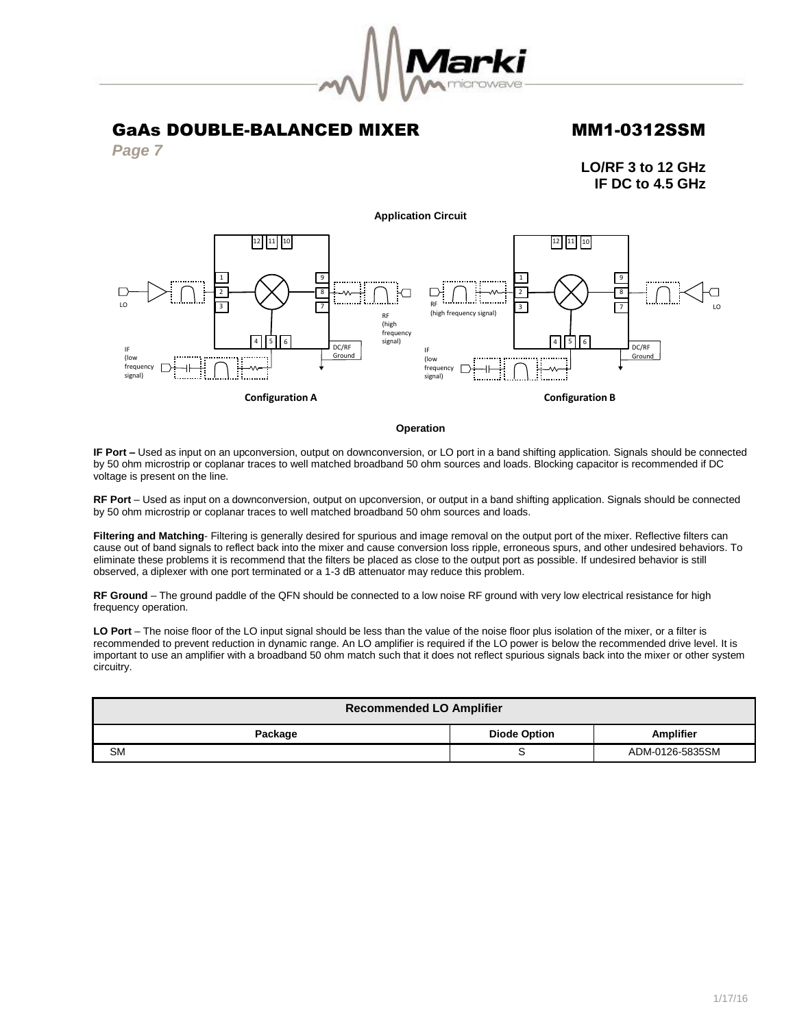

*Page 7*

**LO/RF 3 to 12 GHz IF DC to 4.5 GHz**



### **Operation**

**IF Port –** Used as input on an upconversion, output on downconversion, or LO port in a band shifting application. Signals should be connected by 50 ohm microstrip or coplanar traces to well matched broadband 50 ohm sources and loads. Blocking capacitor is recommended if DC voltage is present on the line.

**RF Port** – Used as input on a downconversion, output on upconversion, or output in a band shifting application. Signals should be connected by 50 ohm microstrip or coplanar traces to well matched broadband 50 ohm sources and loads.

**Filtering and Matching**- Filtering is generally desired for spurious and image removal on the output port of the mixer. Reflective filters can cause out of band signals to reflect back into the mixer and cause conversion loss ripple, erroneous spurs, and other undesired behaviors. To eliminate these problems it is recommend that the filters be placed as close to the output port as possible. If undesired behavior is still observed, a diplexer with one port terminated or a 1-3 dB attenuator may reduce this problem.

**RF Ground** – The ground paddle of the QFN should be connected to a low noise RF ground with very low electrical resistance for high frequency operation.

**LO Port** – The noise floor of the LO input signal should be less than the value of the noise floor plus isolation of the mixer, or a filter is recommended to prevent reduction in dynamic range. An LO amplifier is required if the LO power is below the recommended drive level. It is important to use an amplifier with a broadband 50 ohm match such that it does not reflect spurious signals back into the mixer or other system circuitry.

| <b>Recommended LO Amplifier</b>                    |   |                 |  |  |  |
|----------------------------------------------------|---|-----------------|--|--|--|
| <b>Amplifier</b><br><b>Diode Option</b><br>Package |   |                 |  |  |  |
| <b>SM</b>                                          | ີ | ADM-0126-5835SM |  |  |  |